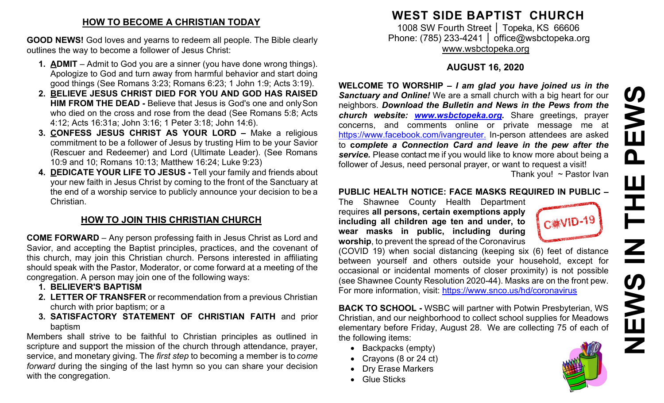# **HOW TO BECOME A CHRISTIAN TODAY**

**GOOD NEWS!** God loves and yearns to redeem all people. The Bible clearly outlines the way to become a follower of Jesus Christ:

- **1. ADMIT**  Admit to God you are a sinner (you have done wrong things). Apologize to God and turn away from harmful behavior and start doing good things (See Romans 3:23; Romans 6:23; 1 John 1:9; Acts 3:19).
- **2. BELIEVE JESUS CHRIST DIED FOR YOU AND GOD HAS RAISED HIM FROM THE DEAD -** Believe that Jesus is God's one and onlySon who died on the cross and rose from the dead (See Romans 5:8; Acts 4:12; Acts 16:31a; John 3:16; 1 Peter 3:18; John 14:6).
- **3. CONFESS JESUS CHRIST AS YOUR LORD –** Make a religious commitment to be a follower of Jesus by trusting Him to be your Savior (Rescuer and Redeemer) and Lord (Ultimate Leader). (See Romans 10:9 and 10; Romans 10:13; Matthew 16:24; Luke 9:23)
- **4. DEDICATE YOUR LIFE TO JESUS -** Tell your family and friends about your new faith in Jesus Christ by coming to the front of the Sanctuary at the end of a worship service to publicly announce your decision to be a Christian.

# **HOW TO JOIN THIS CHRISTIAN CHURCH**

**COME FORWARD** – Any person professing faith in Jesus Christ as Lord and Savior, and accepting the Baptist principles, practices, and the covenant of this church, may join this Christian church. Persons interested in affiliating should speak with the Pastor, Moderator, or come forward at a meeting of the congregation. A person may join one of the following ways:

- **1. BELIEVER'S BAPTISM**
- **2. LETTER OF TRANSFER** or recommendation from a previous Christian church with prior baptism; or a
- **3. SATISFACTORY STATEMENT OF CHRISTIAN FAITH** and prior baptism

Members shall strive to be faithful to Christian principles as outlined in scripture and support the mission of the church through attendance, prayer, service, and monetary giving. The *first step* to becoming a member is to *come forward* during the singing of the last hymn so you can share your decision with the congregation.

# **WEST SIDE BAPTIST CHURCH**

1008 SW Fourth Street | Topeka, KS 66606 Phone: (785) 233-4241 │ [office@wsbctopeka.org](mailto:office@wsbctopeka.org) [www.wsbctopeka.org](http://www.wsbctopeka.org/)

# **AUGUST 16, 2020**

**WELCOME TO WORSHIP –** *I am glad you have joined us in the Sanctuary and Online!* We are a small church with a big heart for our neighbors. *Download the Bulletin and News in the Pews from the church website: [www.wsbctopeka.org.](http://www.wsbctopeka.org/)* Share greetings, prayer concerns, and comments online or private message me at <https://www.facebook.com/ivangreuter.> In-person attendees are asked to **c***omplete a Connection Card and leave in the pew after the service.* Please contact me if you would like to know more about being a follower of Jesus, need personal prayer, or want to request a visit! Thank you!  $\sim$  Pastor Ivan

### **PUBLIC HEALTH NOTICE: FACE MASKS REQUIRED IN PUBLIC –**

The Shawnee County Health Department requires **all persons, certain exemptions apply including all children age ten and under, to wear masks in public, including during worship**, to prevent the spread of the Coronavirus



(COVID 19) when social distancing (keeping six (6) feet of distance between yourself and others outside your household, except for occasional or incidental moments of closer proximity) is not possible (see Shawnee County Resolution 2020-44). Masks are on the front pew. For more information, visit:<https://www.snco.us/hd/coronavirus>

**BACK TO SCHOOL -** WSBC will partner with Potwin Presbyterian, WS Christian, and our neighborhood to collect school supplies for Meadows elementary before Friday, August 28. We are collecting 75 of each of the following items:

- Backpacks (empty)
- Crayons (8 or 24 ct)
- Dry Erase Markers
- Glue Sticks

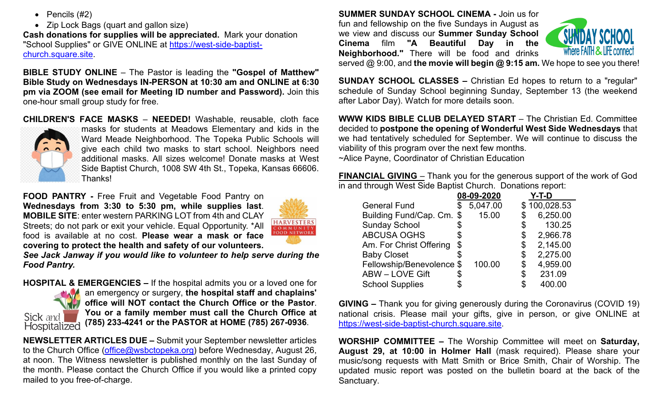- Pencils (#2)
- Zip Lock Bags (quart and gallon size)

**Cash donations for supplies will be appreciated.** Mark your donation "School Supplies" or GIVE ONLINE at [https://west-side-baptist](https://west-side-baptist-church.square.site/)[church.square.site.](https://west-side-baptist-church.square.site/)

**BIBLE STUDY ONLINE** – The Pastor is leading the **"Gospel of Matthew" Bible Study on Wednesdays IN-PERSON at 10:30 am and ONLINE at 6:30 pm via ZOOM (see email for Meeting ID number and Password).** Join this one-hour small group study for free.

**CHILDREN'S FACE MASKS** – **NEEDED!** Washable, [reusable, cloth](https://nextdoor.com/news_feed/?post=155629527&is=npe&mar=false&ct=BgkLRxK_kUfufApdcecdosUCxLcqgbPaQ_Gg-2IY2NlrRaq2bpMDOSDoY_GCy84Q&ec=iD9EVf8Fqz_GipY9l9G7ig==&token=TBZBxdG2WbEk0mYSwQGqzKGdoDCzxFuWDjeZ0kzGgT0BzasgBHhy6iRPISpftfNhWqt2RAAJX9uEhigwXTopVKqwnU3us_MCMfUPUWcq4VY%3D&auto_token=62LLcwTu_ghjIiTFPF5WALVGj_oNZnTxqmgoKXOWdIGckbo_MY8IqQM2Efpf34bBU9E0CBmIjp5ylAnO7J778wfKh9MNbBRsnQB4ZeWb5jY%3D) face



[masks for students at Meadows Elementary and kids in the](https://nextdoor.com/news_feed/?post=155629527&is=npe&mar=false&ct=BgkLRxK_kUfufApdcecdosUCxLcqgbPaQ_Gg-2IY2NlrRaq2bpMDOSDoY_GCy84Q&ec=iD9EVf8Fqz_GipY9l9G7ig==&token=TBZBxdG2WbEk0mYSwQGqzKGdoDCzxFuWDjeZ0kzGgT0BzasgBHhy6iRPISpftfNhWqt2RAAJX9uEhigwXTopVKqwnU3us_MCMfUPUWcq4VY%3D&auto_token=62LLcwTu_ghjIiTFPF5WALVGj_oNZnTxqmgoKXOWdIGckbo_MY8IqQM2Efpf34bBU9E0CBmIjp5ylAnO7J778wfKh9MNbBRsnQB4ZeWb5jY%3D)  [Ward Meade Neighborhood. The Topeka Public Schools will](https://nextdoor.com/news_feed/?post=155629527&is=npe&mar=false&ct=BgkLRxK_kUfufApdcecdosUCxLcqgbPaQ_Gg-2IY2NlrRaq2bpMDOSDoY_GCy84Q&ec=iD9EVf8Fqz_GipY9l9G7ig==&token=TBZBxdG2WbEk0mYSwQGqzKGdoDCzxFuWDjeZ0kzGgT0BzasgBHhy6iRPISpftfNhWqt2RAAJX9uEhigwXTopVKqwnU3us_MCMfUPUWcq4VY%3D&auto_token=62LLcwTu_ghjIiTFPF5WALVGj_oNZnTxqmgoKXOWdIGckbo_MY8IqQM2Efpf34bBU9E0CBmIjp5ylAnO7J778wfKh9MNbBRsnQB4ZeWb5jY%3D)  [give each child two masks to start school. Neighbors need](https://nextdoor.com/news_feed/?post=155629527&is=npe&mar=false&ct=BgkLRxK_kUfufApdcecdosUCxLcqgbPaQ_Gg-2IY2NlrRaq2bpMDOSDoY_GCy84Q&ec=iD9EVf8Fqz_GipY9l9G7ig==&token=TBZBxdG2WbEk0mYSwQGqzKGdoDCzxFuWDjeZ0kzGgT0BzasgBHhy6iRPISpftfNhWqt2RAAJX9uEhigwXTopVKqwnU3us_MCMfUPUWcq4VY%3D&auto_token=62LLcwTu_ghjIiTFPF5WALVGj_oNZnTxqmgoKXOWdIGckbo_MY8IqQM2Efpf34bBU9E0CBmIjp5ylAnO7J778wfKh9MNbBRsnQB4ZeWb5jY%3D)  [additional masks. All sizes welcome! Donate masks at West](https://nextdoor.com/news_feed/?post=155629527&is=npe&mar=false&ct=BgkLRxK_kUfufApdcecdosUCxLcqgbPaQ_Gg-2IY2NlrRaq2bpMDOSDoY_GCy84Q&ec=iD9EVf8Fqz_GipY9l9G7ig==&token=TBZBxdG2WbEk0mYSwQGqzKGdoDCzxFuWDjeZ0kzGgT0BzasgBHhy6iRPISpftfNhWqt2RAAJX9uEhigwXTopVKqwnU3us_MCMfUPUWcq4VY%3D&auto_token=62LLcwTu_ghjIiTFPF5WALVGj_oNZnTxqmgoKXOWdIGckbo_MY8IqQM2Efpf34bBU9E0CBmIjp5ylAnO7J778wfKh9MNbBRsnQB4ZeWb5jY%3D)  [Side Baptist Church, 1008 SW 4th St., Topeka, Kansas 66606.](https://nextdoor.com/news_feed/?post=155629527&is=npe&mar=false&ct=BgkLRxK_kUfufApdcecdosUCxLcqgbPaQ_Gg-2IY2NlrRaq2bpMDOSDoY_GCy84Q&ec=iD9EVf8Fqz_GipY9l9G7ig==&token=TBZBxdG2WbEk0mYSwQGqzKGdoDCzxFuWDjeZ0kzGgT0BzasgBHhy6iRPISpftfNhWqt2RAAJX9uEhigwXTopVKqwnU3us_MCMfUPUWcq4VY%3D&auto_token=62LLcwTu_ghjIiTFPF5WALVGj_oNZnTxqmgoKXOWdIGckbo_MY8IqQM2Efpf34bBU9E0CBmIjp5ylAnO7J778wfKh9MNbBRsnQB4ZeWb5jY%3D)  [Thanks!](https://nextdoor.com/news_feed/?post=155629527&is=npe&mar=false&ct=BgkLRxK_kUfufApdcecdosUCxLcqgbPaQ_Gg-2IY2NlrRaq2bpMDOSDoY_GCy84Q&ec=iD9EVf8Fqz_GipY9l9G7ig==&token=TBZBxdG2WbEk0mYSwQGqzKGdoDCzxFuWDjeZ0kzGgT0BzasgBHhy6iRPISpftfNhWqt2RAAJX9uEhigwXTopVKqwnU3us_MCMfUPUWcq4VY%3D&auto_token=62LLcwTu_ghjIiTFPF5WALVGj_oNZnTxqmgoKXOWdIGckbo_MY8IqQM2Efpf34bBU9E0CBmIjp5ylAnO7J778wfKh9MNbBRsnQB4ZeWb5jY%3D)

**FOOD PANTRY -** Free Fruit and Vegetable Food Pantry on **Wednesdays from 3:30 to 5:30 pm, while supplies last**. **MOBILE SITE**: enter western PARKING LOT from 4th and CLAY Streets; do not park or exit your vehicle. Equal Opportunity. \*All food is available at no cost. **Please wear a mask or face covering to protect the health and safety of our volunteers.**



*See Jack Janway if you would like to volunteer to help serve during the Food Pantry.* 

**HOSPITAL & EMERGENCIES –** If the hospital admits you or a loved one for **AM** an emergency or surgery, the hospital staff and chaplains' **office will NOT contact the Church Office or the Pastor**. **You or a family member must call the Church Office at**  Sick and **(785) 233-4241 or the PASTOR at HOME (785) 267-0936**. Hospitalized

**NEWSLETTER ARTICLES DUE –** Submit your September newsletter articles to the Church Office [\(office@wsbctopeka.org\)](mailto:office@wsbctopeka.org) before Wednesday, August 26, at noon. The Witness newsletter is published monthly on the last Sunday of the month. Please contact the Church Office if you would like a printed copy mailed to you free-of-charge.

**SUMMER SUNDAY SCHOOL CINEMA -** Join us for fun and fellowship on the five Sundays in August as we view and discuss our **Summer Sunday School Cinema** film **"A Beautiful Day in the Neighborhood."** There will be food and drinks



served @ 9:00, and **the movie will begin @ 9:15 am.** We hope to see you there!

**SUNDAY SCHOOL CLASSES –** Christian Ed hopes to return to a "regular" schedule of Sunday School beginning Sunday, September 13 (the weekend after Labor Day). Watch for more details soon.

**WWW KIDS BIBLE CLUB DELAYED START** – The Christian Ed. Committee decided to **postpone the opening of Wonderful West Side Wednesdays** that we had tentatively scheduled for September. We will continue to discuss the viability of this program over the next few months. ~Alice Payne, Coordinator of Christian Education

**FINANCIAL GIVING** – Thank you for the generous support of the work of God in and through West Side Baptist Church. Donations report:

|                           |    | 08-09-2020 | Y-T-D          |
|---------------------------|----|------------|----------------|
| <b>General Fund</b>       | \$ | 5,047.00   | \$100,028.53   |
| Building Fund/Cap. Cm.    | \$ | 15.00      | 6,250.00       |
| <b>Sunday School</b>      | \$ |            | \$<br>130.25   |
| <b>ABCUSA OGHS</b>        | \$ |            | \$<br>2,966.78 |
| Am. For Christ Offering   | \$ |            | \$<br>2,145.00 |
| <b>Baby Closet</b>        |    |            | \$<br>2,275.00 |
| Fellowship/Benevolence \$ |    | 100.00     | \$<br>4,959.00 |
| <b>ABW-LOVE Gift</b>      | S  |            | \$<br>231.09   |
| <b>School Supplies</b>    |    |            | \$<br>400.00   |
|                           |    |            |                |

**GIVING –** Thank you for giving generously during the Coronavirus (COVID 19) national crisis. Please mail your gifts, give in person, or give ONLINE at [https://west-side-baptist-church.square.site.](https://west-side-baptist-church.square.site/)

**WORSHIP COMMITTEE –** The Worship Committee will meet on **Saturday, August 29, at 10:00 in Holmer Hall** (mask required). Please share your music/song requests with Matt Smith or Brice Smith, Chair of Worship. The updated music report was posted on the bulletin board at the back of the Sanctuary.